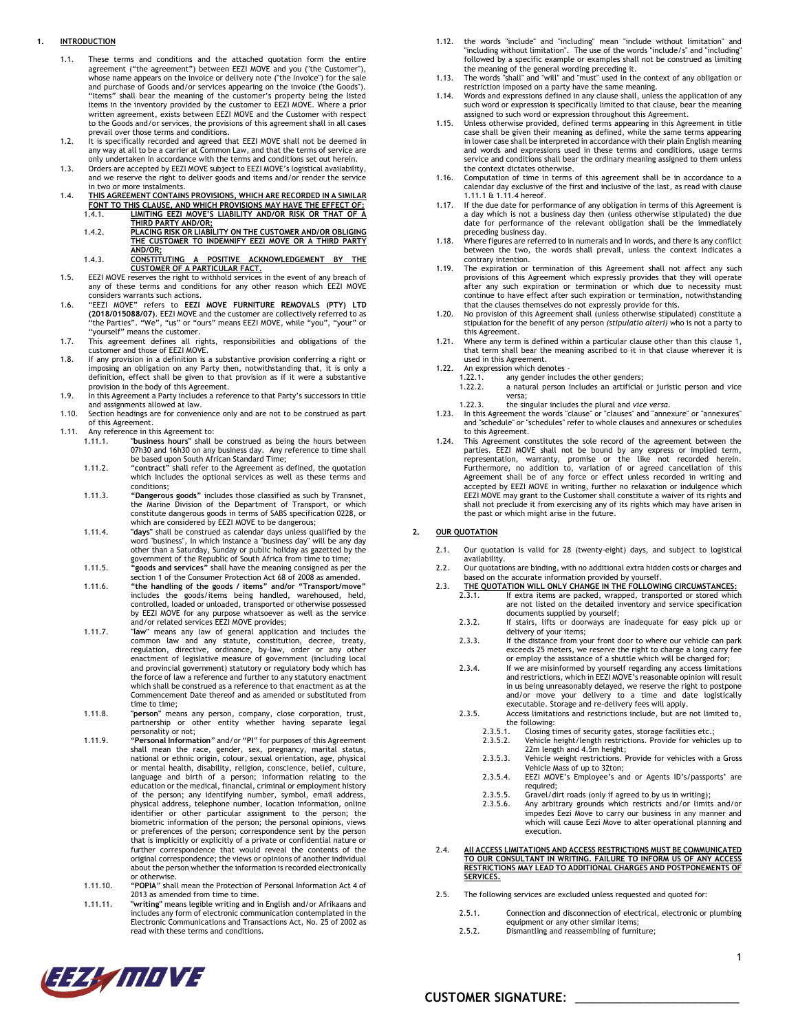## <span id="page-0-2"></span>**1. INTRODUCTION**

- 1.1. These terms and conditions and the attached quotation form the entire agreement ("the agreement") between EEZI MOVE and you ("the Customer"), whose name appears on the invoice or delivery note ("the Invoice") for the sale and purchase of Goods and/or services appearing on the invoice ('the Goods"). "Items" shall bear the meaning of the customer's property being the listed items in the inventory provided by the customer to EEZI MOVE. Where a prior written agreement, exists between EEZI MOVE and the Customer with respect to the Goods and/or services, the provisions of this agreement shall in all cases prevail over those terms and conditions.
- 1.2. It is specifically recorded and agreed that EEZI MOVE shall not be deemed in any way at all to be a carrier at Common Law, and that the terms of service are only undertaken in accordance with the terms and conditions set out herein.
- 1.3. Orders are accepted by EEZI MOVE subject to EEZI MOVE's logistical availability, and we reserve the right to deliver goods and items and/or render the service in two or more instalments.
- 1.4. **THIS AGREEMENT CONTAINS PROVISIONS, WHICH ARE RECORDED IN A SIMILAR FONT TO THIS CLAUSE, AND WHICH PROVISIONS MAY HAVE THE EFFECT OF:** 1.4.1. **LIMITING EEZI MOVE'S LIABILITY AND/OR RISK OR THAT OF A THIRD PARTY AND/OR;**
	- 1.4.2. PLACING RISK OR LIABILITY ON THE CUSTOMER AND/OR OBLIGING<br>THE CUSTOMER TO INDEMNIFY EEZI MOVE OR A THIRD PARTY **AND/OR;**
	- 1.4.3. **CONSTITUTING A POSITIVE ACKNOWLEDGEMENT BY THE CUSTOMER OF A PARTICULAR FACT.**
- 1.5. EEZI MOVE reserves the right to withhold services in the event of any breach of any of these terms and conditions for any other reason which EEZI MOVE considers warrants such actions.
- 1.6. "EEZI MOVE" refers to **EEZI MOVE FURNITURE REMOVALS (PTY) LTD (2018/015088/07)**. EEZI MOVE and the customer are collectively referred to as "the Parties". "We", "us" or "ours" means EEZI MOVE, while "you", "your" or "yourself" means the customer. 1.7. This agreement defines all rights, responsibilities and obligations of the
- customer and those of EEZI MOVE.
- 1.8. If any provision in a definition is a substantive provision conferring a right or imposing an obligation on any Party then, notwithstanding that, it is only a definition, effect shall be given to that provision as if it were a substantive provision in the body of this Agreement.
- 1.9. In this Agreement a Party includes a reference to that Party's successors in title and assignments allowed at law. 1.10. Section headings are for convenience only and are not to be construed as part
- of this Agreement.
- <span id="page-0-4"></span><span id="page-0-1"></span><span id="page-0-0"></span>1.11. Any reference in this Agreement to:<br>1.11.1. "business hours" shall
	- 1.11.1. **"business hours"** shall be construed as being the hours between 07h30 and 16h30 on any business day. Any reference to time shall be based upon South African Standard Time;
	- 1.11.2. "**contract**" shall refer to the Agreement as defined, the quotation which includes the optional services as well as these terms and conditions;
	- 1.11.3. **"Dangerous goods"** includes those classified as such by Transnet, the Marine Division of the Department of Transport, or which constitute dangerous goods in terms of SABS specification 0228, or which are considered by EEZI MOVE to be dangerous;
	- 1.11.4. **"days"** shall be construed as calendar days unless qualified by the word "business", in which instance a "business day" will be any day other than a Saturday, Sunday or public holiday as gazetted by the government of the Republic of South Africa from time to time; 1.11.5. **"goods and services"** shall have the meaning consigned as per the
	- section 1 of the Consumer Protection Act 68 of 2008 as amended.
	- 1.11.6. **"the handling of the goods / items" and/or "Transport/move"**  includes the goods/items being handled, warehoused, held, controlled, loaded or unloaded, transported or otherwise possessed by EEZI MOVE for any purpose whatsoever as well as the service and/or related services EEZI MOVE provides;
	- 1.11.7. **"law"** means any law of general application and includes the common law and any statute, constitution, decree, treaty, regulation, directive, ordinance, by-law, order or any other enactment of legislative measure of government (including local and provincial government) statutory or regulatory body which has the force of law a reference and further to any statutory enactment which shall be construed as a reference to that enactment as at the Commencement Date thereof and as amended or substituted from time to time;
	- 1.11.8. **"person"** means any person, company, close corporation, trust, partnership or other entity whether having separate legal personality or not;
	- 1.11.9. "**Personal Information**" and/or "**PI**" for purposes of this Agreement shall mean the race, gender, sex, pregnancy, marital status, national or ethnic origin, colour, sexual orientation, age, physical or mental health, disability, religion, conscience, belief, culture, language and birth of a person; information relating to the education or the medical, financial, criminal or employment history of the person; any identifying number, symbol, email address, physical address, telephone number, location information, online identifier or other particular assignment to the person; the biometric information of the person; the personal opinions, views or preferences of the person; correspondence sent by the person that is implicitly or explicitly of a private or confidential nature or further correspondence that would reveal the contents of the original correspondence; the views or opinions of another individual about the person whether the information is recorded electronically
	- or otherwise. 1.11.10. "**POPIA**" shall mean the Protection of Personal Information Act 4 of 2013 as amended from time to time.
	- 1.11.11. **"writing"** means legible writing and in English and/or Afrikaans and includes any form of electronic communication contemplated in the Electronic Communications and Transactions Act, No. 25 of 2002 as read with these terms and conditions.
- 1.12. the words "include" and "including" mean "include without limitation" and "including without limitation". The use of the words "include/s" and "including" followed by a specific example or examples shall not be construed as limiting the meaning of the general wording preceding it.
- 1.13. The words "shall" and "will" and "must" used in the context of any obligation or
- restriction imposed on a party have the same meaning. 1.14. Words and expressions defined in any clause shall, unless the application of any such word or expression is specifically limited to that clause, bear the meaning assigned to such word or expression throughout this Agreement.
- 1.15. Unless otherwise provided, defined terms appearing in this Agreement in title case shall be given their meaning as defined, while the same terms appearing in lower case shall be interpreted in accordance with their plain English meaning and words and expressions used in these terms and conditions, usage terms service and conditions shall bear the ordinary meaning assigned to them unless the context dictates otherwise.
- 1.16. Computation of time in terms of this agreement shall be in accordance to a calendar day exclusive of the first and inclusive of the last, as read with clause [1.11.1](#page-0-0) [& 1.11.4](#page-0-1) hereof.
- 1.17. If the due date for performance of any obligation in terms of this Agreement is<br>a day which is not a business day then (unless otherwise stipulated) the due<br>date for performance of the relevant obligation shall be th preceding business day.
- 1.18. Where figures are referred to in numerals and in words, and there is any conflict between the two, the words shall prevail, unless the context indicates a contrary intention.
- 1.19. The expiration or termination of this Agreement shall not affect any such provisions of this Agreement which expressly provides that they will operate after any such expiration or termination or which due to necessity must continue to have effect after such expiration or termination, notwithstanding
- that the clauses themselves do not expressly provide for this. 1.20. No provision of this Agreement shall (unless otherwise stipulated) constitute a stipulation for the benefit of any person *(stipulatio alteri)* who is not a party to
- this Agreement. 1.21. Where any term is defined within a particular clause other than this clause [1,](#page-0-2)  that term shall bear the meaning ascribed to it in that clause wherever it is used in this Agreement. 1.22. An expression which denotes –
- - 1.22.1. any gender includes the other genders;<br>1.22.2. a natural person includes an artificial a natural person includes an artificial or juristic person and vice
	- versa;
- 1.22.3. the singular includes the plural and *vice versa*. 1.23. In this Agreement the words "clause" or "clauses" and "annexure" or "annexures"
- and "schedule" or "schedules" refer to whole clauses and annexures or schedules to this Agreement.
- 1.24. This Agreement constitutes the sole record of the agreement between the parties. EEZI MOVE shall not be bound by any express or implied term, representation, warranty, promise or the like not recorded herein. Furthermore, no addition to, variation of or agreed cancellation of this Agreement shall be of any force or effect unless recorded in writing and<br>accepted by EEZI MOVE in writing, further no relaxation or indulgence which<br>EEZI MOVE may grant to the Customer shall constitute a waiver of its righ shall not preclude it from exercising any of its rights which may have arisen in the past or which might arise in the future.

#### <span id="page-0-6"></span>**2. OUR QUOTATION**

- 2.1. Our quotation is valid for 28 (twenty-eight) days, and subject to logistical availability. 2.2. Our quotations are binding, with no additional extra hidden costs or charges and
- based on the accurate information provided by yourself. 2.3. **THE QUOTATION WILL ONLY CHANGE IN THE FOLLOWING CIRCUMSTANCES:**
- 2.3.1. If extra items are packed, wrapped, transported or stored which
	- are not listed on the detailed inventory and service specification documents supplied by yourself; 2.3.2. If stairs, lifts or doorways are inadequate for easy pick up or
		- delivery of your items; 2.3.3. If the distance from your front door to where our vehicle can park
		- exceeds 25 meters, we reserve the right to charge a long carry fee or employ the assistance of a shuttle which will be charged for;
	- 2.3.4. If we are misinformed by yourself regarding any access limitations and restrictions, which in EEZI MOVE's reasonable opinion will result in us being unreasonably delayed, we reserve the right to postpone and/or move your delivery to a time and date logistically executable. Storage and re-delivery fees will apply.
	- 2.3.5. Access limitations and restrictions include, but are not limited to, the following:<br> $2.3.5.1$  Closing the closing the contract of the contract of the contract of the contract of the contract of the contract of the contract of the contract of the contract of the contract of the contract of
		- Closing times of security gates, storage facilities etc.;
		- 2.3.5.2. Vehicle height/length restrictions. Provide for vehicles up to
		- 22m length and 4.5m height; 2.3.5.3. Vehicle weight restrictions. Provide for vehicles with a Gross Vehicle Mass of up to 32ton;
		- 2.3.5.4. EEZI MOVE's Employee's and or Agents ID's/passports' are required;
		- 2.3.5.5. Gravel/dirt roads (only if agreed to by us in writing);
		- 2.3.5.6. Any arbitrary grounds which restricts and/or limits and/or impedes Eezi Move to carry our business in any manner and which will cause Eezi Move to alter operational planning and execution.
- <span id="page-0-5"></span>2.4. **All ACCESS LIMITATIONS AND ACCESS RESTRICTIONS MUST BE COMMUNICATED TO OUR CONSULTANT IN WRITING. FAILURE TO INFORM US OF ANY ACCESS RESTRICTIONS MAY LEAD TO ADDITIONAL CHARGES AND POSTPONEMENTS OF SERVICES.**
- <span id="page-0-3"></span>2.5. The following services are excluded unless requested and quoted for:
	- 2.5.1. Connection and disconnection of electrical, electronic or plumbing equipment or any other similar items;
	- 2.5.2. Dismantling and reassembling of furniture;

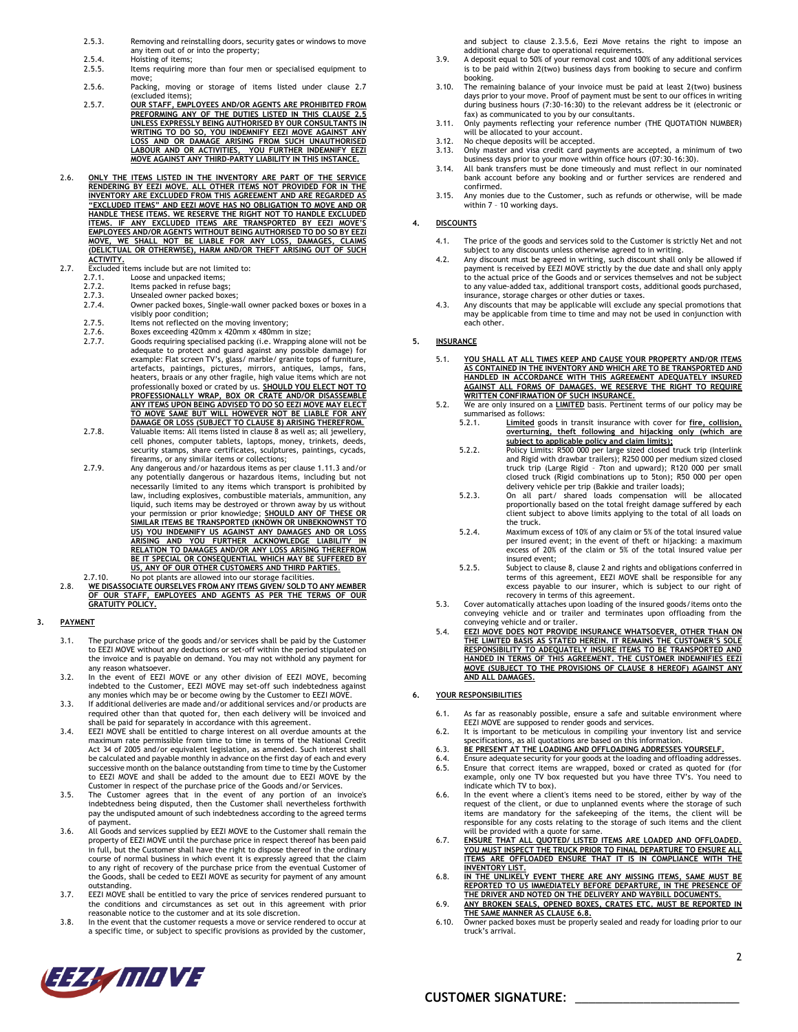- 2.5.3. Removing and reinstalling doors, security gates or windows to move any item out of or into the property;
- 2.5.4. Hoisting of items;<br>2.5.5. Items requiring m
- Items requiring more than four men or specialised equipment to move;
- 2.5.6. Packing, moving or storage of items listed under clause [2.7](#page-1-0) (excluded items);
- 2.5.7. **OUR STAFF, EMPLOYEES AND/OR AGENTS ARE PROHIBITED FROM PREFORMING ANY OF THE DUTIES LISTED IN THIS CLAUSE [2.5](#page-0-3) UNLESS EXPRESSLY BEING AUTHORISED BY OUR CONSULTANTS IN WRITING TO DO SO, YOU INDEMNIFY EEZI MOVE AGAINST ANY LOSS AND OR DAMAGE ARISING FROM SUCH UNAUTHORISED LABOUR AND OR ACTIVITIES, YOU FURTHER INDEMNIFY EEZI MOVE AGAINST ANY THIRD-PARTY LIABILITY IN THIS INSTANCE.**
- 2.6. **ONLY THE ITEMS LISTED IN THE INVENTORY ARE PART OF THE SERVICE RENDERING BY EEZI MOVE. ALL OTHER ITEMS NOT PROVIDED FOR IN THE INVENTORY ARE EXCLUDED FROM THIS AGREEMENT AND ARE REGARDED AS "EXCLUDED ITEMS" AND EEZI MOVE HAS NO OBLIGATION TO MOVE AND OR HANDLE THESE ITEMS. WE RESERVE THE RIGHT NOT TO HANDLE EXCLUDED ITEMS. IF ANY EXCLUDED ITEMS ARE TRANSPORTED BY EEZI MOVE'S**  <u>EMPLOYEES AND/OR AGENTS WITHOUT BEING AUTHORISED TO DO SO BY EEZI</u><br><u>MOVE, WE SHALL NOT BE LIABLE FOR ANY LOSS, DAMAGES, CLAIMS</u><br>(DELICTUAL OR OTHERWISE), HARM AND/OR THEFT ARISING OUT OF SUCH **ACTIVITY.**
- <span id="page-1-0"></span>2.7. Excluded items include but are not limited to:<br>2.7.1. Loose and unpacked items;
	-
	- 2.7.1. Loose and unpacked items; 2.7.2. Items packed in refuse bags;
	- 2.7.3. Unsealed owner packed boxes;<br>2.7.4. Owner packed boxes, Single-wa
	- Owner packed boxes, Single-wall owner packed boxes or boxes in a visibly poor condition;
	-
	- 2.7.5. Items not reflected on the moving inventory;<br>2.7.6. Boxes exceeding 420mm x 420mm x 480mm in<br>2.7.7. Goods requiring specialised packing (i.e. Wran 2.7.6. Boxes exceeding 420mm x 420mm x 480mm in size; 2.7.7. Goods requiring specialised packing (i.e. Wrapping alone will not be adequate to protect and guard against any possible damage) for example: Flat screen TV's, glass/marble/ granite tops of furniture,<br>artefacts, paintings, pictures, mirrors, antiques, lamps, fans,<br>heaters, braais or any other fragile, high value items which are not<br>professionally boxed **DAMAGE OR LOSS (SUBJECT TO CLAUSE [8\)](#page-2-0) ARISING THEREFROM.**
	- 2.7.8. Valuable items: All items listed in claus[e 8](#page-2-0) as well as; all jewellery, cell phones, computer tablets, laptops, money, trinkets, deeds, security stamps, share certificates, sculptures, paintings, cycads, firearms, or any similar items or collections;
	- 2.7.9. Any dangerous and/or hazardous items as per clause [1.11.3](#page-0-4) and/or any potentially dangerous or hazardous items, including but not necessarily limited to any items which transport is prohibited by law, including explosives, combustible materials, ammunition, any liquid, such items may be destroyed or thrown away by us without<br>SIMILAR ITEMS BE TRANSPORTED (KNOWN OR UNBEKNOWNST TO<br>SIMILAR ITEMS BE TRANSPORTED (KNOWN OR UNBEKNOWNST TO<br>US) YOU INDEMNIFY US AGAINST ANY DAMAGES AND OR L **RELATION TO DAMAGES AND/OR ANY LOSS ARISING THEREFROM BE IT SPECIAL OR CONSEQUENTIAL WHICH MAY BE SUFFERED BY US, ANY OF OUR OTHER CUSTOMERS AND THIRD PARTIES**.
- 2.7.10. No pot plants are allowed into our storage facilities.<br>2.8. WE DISASSOCIATE OURSELVES FROM ANY ITEMS GIVEN/ SOLD TO ANY MEMBER<br>OF OUR STAFF, EMPLOYEES AND AGENTS AS PER THE TERMS OF OUR<br>GRATUITY POLICY,

# **3. PAYMENT**

- 3.1. The purchase price of the goods and/or services shall be paid by the Customer to EEZI MOVE without any deductions or set-off within the period stipulated on the invoice and is payable on demand. You may not withhold any payment for any reason whatsoever.
- 3.2. In the event of EEZI MOVE or any other division of EEZI MOVE, becoming indebted to the Customer, EEZI MOVE may set-off such indebtedness against any monies which may be or become owing by the Customer to EEZI MOVE.
- 3.3. If additional deliveries are made and/or additional services and/or products are required other than that quoted for, then each delivery will be invoiced and shall be paid for separately in accordance with this agreement.
- 3.4. EEZI MOVE shall be entitled to charge interest on all overdue amounts at the maximum rate permissible from time to time in terms of the National Credit Act 34 of 2005 and/or equivalent legislation, as amended. Such interest shall be calculated and payable monthly in advance on the first day of each and every successive month on the balance outstanding from time to time by the Customer to EEZI MOVE and shall be added to the amount due to EEZI MOVE by the
- Customer in respect of the purchase price of the Goods and/or Services. 3.5. The Customer agrees that in the event of any portion of an invoice's indebtedness being disputed, then the Customer shall nevertheless forthwith pay the undisputed amount of such indebtedness according to the agreed terms of payment.
- 3.6. All Goods and services supplied by EEZI MOVE to the Customer shall remain the property of EEZI MOVE until the purchase price in respect thereof has been paid in full, but the Customer shall have the right to dispose thereof in the ordinary course of normal business in which event it is expressly agreed that the claim<br>to any right of recovery of the purchase price from the eventual Customer of<br>the Goods, shall be ceded to EEZI MOVE as security for payment of outstanding.
- 3.7. EEZI MOVE shall be entitled to vary the price of services rendered pursuant to the conditions and circumstances as set out in this agreement with prior reasonable notice to the customer and at its sole discretion.
- 3.8. In the event that the customer requests a move or service rendered to occur at a specific time, or subject to specific provisions as provided by the customer,

and subject to clause [2.3.5.6,](#page-0-5) Eezi Move retains the right to impose an additional charge due to operational requirements.

- 3.9. A deposit equal to 50% of your removal cost and 100% of any additional services is to be paid within 2(two) business days from booking to secure and confirm booking.
- 3.10. The remaining balance of your invoice must be paid at least 2(two) business days prior to your move. Proof of payment must be sent to our offices in writing during business hours (7:30-16:30) to the relevant address be it (electronic or fax) as communicated to you by our consultants.
- 3.11. Only payments reflecting your reference number (THE QUOTATION NUMBER)
- will be allocated to your account. 3.12. No cheque deposits will be accepted.
- 3.13. Only master and visa credit card payments are accepted, a minimum of two business days prior to your move within office hours (07:30-16:30).
- 3.14. All bank transfers must be done timeously and must reflect in our nominated bank account before any booking and or further services are rendered and confirmed.
- 3.15. Any monies due to the Customer, such as refunds or otherwise, will be made within 7 – 10 working days.

#### **4. DISCOUNTS**

- 4.1. The price of the goods and services sold to the Customer is strictly Net and not subject to any discounts unless otherwise agreed to in writing.
- 4.2. Any discount must be agreed in writing, such discount shall only be allowed if payment is received by EEZI MOVE strictly by the due date and shall only apply to the actual price of the Goods and or services themselves and not be subject to any value-added tax, additional transport costs, additional goods purchased, insurance, storage charges or other duties or taxes.
- 4.3. Any discounts that may be applicable will exclude any special promotions that may be applicable from time to time and may not be used in conjunction with each other.

#### <span id="page-1-2"></span>**5. INSURANCE**

- 5.1. **YOU SHALL AT ALL TIMES KEEP AND CAUSE YOUR PROPERTY AND/OR ITEMS AS CONTAINED IN THE INVENTORY AND WHICH ARE TO BE TRANSPORTED AND HANDLED IN ACCORDANCE WITH THIS AGREEMENT ADEQUATELY INSURED AGAINST ALL FORMS OF DAMAGES. WE RESERVE THE RIGHT TO REQUIRE WRITTEN CONFIRMATION OF SUCH INSURANCE.**
- 5.2. We are only insured on a **LIMITED** basis. Pertinent terms of our policy may be summarised as follows:<br>5.2.1. **Limited** go
	- 5.2.1. **Limited** goods in transit insurance with cover for **fire, collision, overturning, theft following and hijacking only (which are subject to applicable policy and claim limits);**
	- 5.2.2. Policy Limits: R500 000 per large sized closed truck trip (Interlink and Rigid with drawbar trailers); R250 000 per medium sized closed truck trip (Large Rigid – 7ton and upward); R120 000 per small closed truck (Rigid combinations up to 5ton); R50 000 per open
	- delivery vehicle per trip (Bakkie and trailer loads); 5.2.3. On all part/ shared loads compensation will be allocated proportionally based on the total freight damage suffered by each client subject to above limits applying to the total of all loads on the truck.
	- 5.2.4. Maximum excess of 10% of any claim or 5% of the total insured value per insured event; in the event of theft or hijacking: a maximum excess of 20% of the claim or 5% of the total insured value per insured event;
	- 5.2.5. Subject to claus[e 8,](#page-2-0) claus[e 2](#page-0-6) and rights and obligations conferred in terms of this agreement, EEZI MOVE shall be responsible for any excess payable to our insurer, which is subject to our right of recovery in terms of this agreement.
- 5.3. Cover automatically attaches upon loading of the insured goods/items onto the conveying vehicle and or trailer and terminates upon offloading from the conveying vehicle and or trailer.
- 5.4. **EEZI MOVE DOES NOT PROVIDE INSURANCE WHATSOEVER, OTHER THAN ON THE LIMITED BASIS AS STATED HEREIN. IT REMAINS THE CUSTOMER'S SOLE**  <u>RESPONSIBILITY TO ADEQUATELY INSURE ITEMS TO BE TRANSPORTED AND </u><br>HANDED IN TERMS OF THIS AGREEMENT. THE CUSTOMER INDEMNIFIES EEZI<br>MOVE (SUBJECT TO THE PROVISIONS OF CLAUSE [8](#page-2-0) HEREOF) AGAINST ANY **AND ALL DAMAGES.**

#### **6. YOUR RESPONSIBILITIES**

- 6.1. As far as reasonably possible, ensure a safe and suitable environment where EEZI MOVE are supposed to render goods and services.
- 6.2. It is important to be meticulous in compiling your inventory list and service specifications, as all quotations are based on this information.
- 
- 6.3. **BE PRESENT AT THE LOADING AND OFFLOADING ADDRESSES YOURSELF.** Ensure adequate security for your goods at the loading and offloading addresses.
- 6.5. Ensure that correct items are wrapped, boxed or crated as quoted for (for example, only one TV box requested but you have three TV's. You need to indicate which TV to box).
- 6.6. In the event where a client's items need to be stored, either by way of the request of the client, or due to unplanned events where the storage of such items are mandatory for the safekeeping of the items, the client will be responsible for any costs relating to the storage of such items and the client
- will be provided with a quote for same. 6.7. **ENSURE THAT ALL QUOTED/ LISTED ITEMS ARE LOADED AND OFFLOADED. YOU MUST INSPECT THE TRUCK PRIOR TO FINAL DEPARTURE TO ENSURE ALL ITEMS ARE OFFLOADED ENSURE THAT IT IS IN COMPLIANCE WITH THE**
- <span id="page-1-1"></span>**INVENTORY LIST.** 6.8. **IN THE UNLIKELY EVENT THERE ARE ANY MISSING ITEMS, SAME MUST BE REPORTED TO US IMMEDIATELY BEFORE DEPARTURE, IN THE PRESENCE OF THE DRIVER AND NOTED ON THE DELIVERY AND WAYBILL DOCUMENTS.**
- 6.9. **ANY BROKEN SEALS, OPENED BOXES, CRATES ETC. MUST BE REPORTED IN THE SAME MANNER AS CLAUSE [6.8.](#page-1-1)**
- 6.10. Owner packed boxes must be properly sealed and ready for loading prior to our truck's arrival.

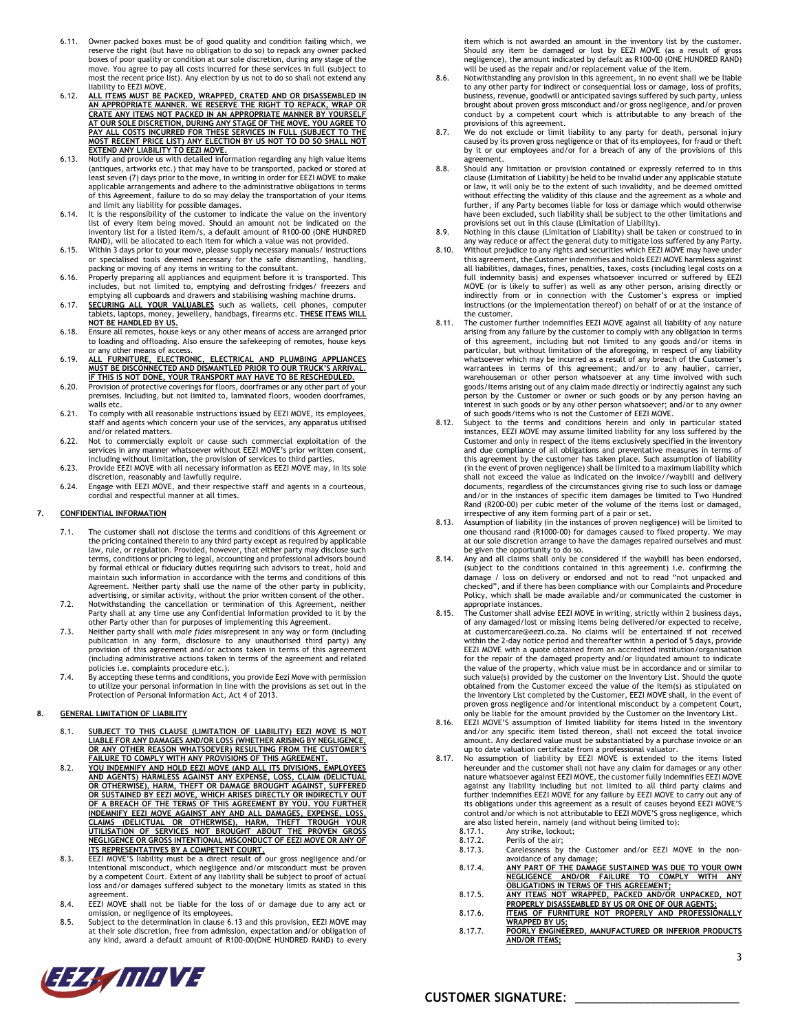- 6.11. Owner packed boxes must be of good quality and condition failing which, we reserve the right (but have no obligation to do so) to repack any owner packed<br>boxes of poor quality or condition at our sole discretion, during any stage of the<br>move. You agree to pay all costs incurred for these services most the recent price list). Any election by us not to do so shall not extend any liability to EEZI MOVE.
- 6.12. **ALL ITEMS MUST BE PACKED, WRAPPED, CRATED AND OR DISASSEMBLED IN AN APPROPRIATE MANNER. WE RESERVE THE RIGHT TO REPACK, WRAP OR CRATE ANY ITEMS NOT PACKED IN AN APPROPRIATE MANNER BY YOURSELF AT OUR SOLE DISCRETION, DURING ANY STAGE OF THE MOVE. YOU AGREE TO PAY ALL COSTS INCURRED FOR THESE SERVICES IN FULL (SUBJECT TO THE MOST RECENT PRICE LIST) ANY ELECTION BY US NOT TO DO SO SHALL NOT EXTEND ANY LIABILITY TO EEZI MOVE.**
- <span id="page-2-1"></span>6.13. Notify and provide us with detailed information regarding any high value items (antiques, artworks etc.) that may have to be transported, packed or stored at least seven (7) days prior to the move, in writing in order for EEZI MOVE to make<br>applicable arrangements and adhere to the administrative obligations in terms<br>of this Agreement, failure to do so may delay the transportati and limit any liability for possible damages. 6.14. It is the responsibility of the customer to indicate the value on the inventory
- list of every item being moved. Should an amount not be indicated on the inventory list for a listed item/s, a default amount of R100-00 (ONE HUNDRED RAND), will be allocated to each item for which a value was not provided.
- 6.15. Within 3 days prior to your move, please supply necessary manuals/ instructions or specialised tools deemed necessary for the safe dismantling, handling, packing or moving of any items in writing to the consultant.
- 6.16. Properly preparing all appliances and equipment before it is transported. This includes, but not limited to, emptying and defrosting fridges/ freezers and emptying all cupboards and drawers and stabilising washing ma
- 6.17. **SECURING ALL YOUR VALUABLES** such as wallets, cell phones, computer tablets, laptops, money, jewellery, handbags, firearms etc. **THESE ITEMS WILL NOT BE HANDLED BY US.**
- 6.18. Ensure all remotes, house keys or any other means of access are arranged prior to loading and offloading. Also ensure the safekeeping of remotes, house keys or any other means of access.
- 6.19. **ALL FURNITURE, ELECTRONIC, ELECTRICAL AND PLUMBING APPLIANCES MUST BE DISCONNECTED AND DISMANTLED PRIOR TO OUR TRUCK'S ARRIVAL. IF THIS IS NOT DONE, YOUR TRANSPORT MAY HAVE TO BE RESCHEDULED.**
- 6.20. Provision of protective coverings for floors, doorframes or any other part of your premises. Including, but not limited to, laminated floors, wooden doorframes, walls etc.
- 6.21. To comply with all reasonable instructions issued by EEZI MOVE, its employees, staff and agents which concern your use of the services, any apparatus utilised and/or related matters.
- 6.22. Not to commercially exploit or cause such commercial exploitation of the services in any manner whatsoever without EEZI MOVE's prior written consent,
- including without limitation, the provision of services to third parties. 6.23. Provide EEZI MOVE with all necessary information as EEZI MOVE may, in its sole discretion, reasonably and lawfully require.
- 6.24. Engage with EEZI MOVE, and their respective staff and agents in a courteous, cordial and respectful manner at all times.

# **7. CONFIDENTIAL INFORMATION**

- 7.1. The customer shall not disclose the terms and conditions of this Agreement or the pricing contained therein to any third party except as required by applicable law, rule, or regulation. Provided, however, that either party may disclose such terms, conditions or pricing to legal, accounting and professional advisors bound by formal ethical or fiduciary duties requiring such advisors to treat, hold and maintain such information in accordance with the terms and conditions of this Agreement. Neither party shall use the name of the other party in publicity, advertising, or similar activity, without the prior written consent of the other.
- 7.2. Notwithstanding the cancellation or termination of this Agreement, neither Party shall at any time use any Confidential Information provided to it by the other Party other than for purposes of implementing this Agreement.
- 7.3. Neither party shall with *male fides* misrepresent in any way or form (including publication in any form, disclosure to any unauthorised third party) any provision of this agreement and/or actions taken in terms of this agreement (including administrative actions taken in terms of the agreement and related policies i.e. complaints procedure etc.).
- 7.4. By accepting these terms and conditions, you provide Eezi Move with permission to utilize your personal information in line with the provisions as set out in the Protection of Personal Information Act, Act 4 of 2013.

#### <span id="page-2-0"></span>**8. GENERAL LIMITATION OF LIABILITY**

- 8.1. SUBJECT TO THIS CLAUSE (LIMITATION OF LIABILITY) EEZI MOVE IS NOT<br>LIABLE FOR ANY DAMAGES AND/OR LOSS (WHETHER ARISIMG BY NEGLIGENCE,<br>OR ANY OTHER REASON WHATSOEYER) RESULTING FROM THE CUSTOMER'S<br>FAILURE TO COMPLY WITH
- 8.2. **YOU INDEMNIFY AND HOLD EEZI MOVE (AND ALL ITS DIVISIONS, EMPLOYEES**  <u>AND AGENTS) HARMLESS AGAINST ANY EXPENSE, LOSS, CLAIM (DELICTUAL</u><br><u>OR OTHERWISE), HARM, THEFT OR DAMAGE BROUGHT AGAINST, SUFFERED</u><br>OR SUSTAINED BY EEZI MOVE, WHICH ARISES DIRECTLY OR INDIRECTLY OUT **OF A BREACH OF THE TERMS OF THIS AGREEMENT BY YOU. YOU FURTHER**  <u>INDEMNIFY EEZI MOVE AGAINST ANY AND ALL DAMAGES, EXPENSE, LOSS,</u><br><u>CLAIMS (DELICTUAL OR OTHERWISE), HARM, THEFT TROUGH YOUR (<br>UTILISATION OF SERVICES NOT BROUGHT ABOUT THE PROVEN GROSS<br>NEGLIGENCE OR GROSS INTENTIONAL MISCO</u> **ITS REPRESENTATIVES BY A COMPETENT COURT.**
- 8.3. EEZI MOVE'S liability must be a direct result of our gross negligence and/or intentional misconduct, which negligence and/or misconduct must be proven by a competent Court. Extent of any liability shall be subject to proof of actual loss and/or damages suffered subject to the monetary limits as stated in this agreement.
- 8.4. EEZI MOVE shall not be liable for the loss of or damage due to any act or omission, or negligence of its employees.
- 8.5. Subject to the determination in claus[e 6.13](#page-2-1) and this provision, EEZI MOVE may at their sole discretion, free from admission, expectation and/or obligation of any kind, award a default amount of R100-00(ONE HUNDRED RAND) to every

item which is not awarded an amount in the inventory list by the customer. Should any item be damaged or lost by EEZI MOVE (as a result of gross<br>negligence), the amount indicated by default as R100-00 (ONE HUNDRED RAND)<br>will be used as the repair and/or replacement value of the item.

- <span id="page-2-2"></span>8.6. Notwithstanding any provision in this agreement, in no event shall we be liable to any other party for indirect or consequential loss or damage, loss of profits, business, revenue, goodwill or anticipated savings suffered by such party, unless brought about proven gross misconduct and/or gross negligence, and/or proven conduct by a competent court which is attributable to any breach of the provisions of this agreement.
- <span id="page-2-3"></span>8.7. We do not exclude or limit liability to any party for death, personal injury caused by its proven gross negligence or that of its employees, for fraud or theft by it or our employees and/or for a breach of any of the provisions of this agreement.
- 8.8. Should any limitation or provision contained or expressly referred to in this clause (Limitation of Liability) be held to be invalid under any applicable statute or law, it will only be to the extent of such invalidity, and be deemed omitted without effecting the validity of this clause and the agreement as a whole and further, if any Party becomes liable for loss or damage which would otherwise have been excluded, such liability shall be subject to the other limitations and provisions set out in this clause (Limitation of Liability).
- 8.9. Nothing in this clause (Limitation of Liability) shall be taken or construed to in any way reduce or affect the general duty to mitigate loss suffered by any Party.
- 8.10. Without prejudice to any rights and securities which EEZI MOVE may have under this agreement, the Customer indemnifies and holds EEZI MOVE harmless against all liabilities, damages, fines, penalties, taxes, costs (including legal costs on a full indemnity basis) and expenses whatsoever incurred or suffered by EEZI<br>MOVE (or is likely to suffer) as well as any other person, arising directly or<br>indirectly from or in connection with the Customer's express or impl instructions (or the implementation thereof) on behalf of or at the instance of the customer.
- 8.11. The customer further indemnifies EEZI MOVE against all liability of any nature arising from any failure by the customer to comply with any obligation in terms of this agreement, including but not limited to any goods and/or items in particular, but without limitation of the aforegoing, in respect of any liability whatsoever which may be incurred as a result of any breach of the Customer's<br>warrantees in terms of this agreement; and/or to any haulier, carrier,<br>warehouseman or other person whatsoever at any time involved with such<br>goo person by the Customer or owner or such goods or by any person having an interest in such goods or by any other person whatsoever; and/or to any owner of such goods/items who is not the Customer of EEZI MOVE.
- Subject to the terms and conditions herein and only in particular stated instances, EEZI MOVE may assume limited liability for any loss suffered by the Customer and only in respect of the items exclusively specified in the inventory and due compliance of all obligations and preventative measures in terms of this agreement by the customer has taken place. Such assumption of liability (in the event of proven negligence) shall be limited to a maximum liability which shall not exceed the value as indicated on the invoice//waybill and delivery documents, regardless of the circumstances giving rise to such loss or damage and/or in the instances of specific item damages be limited to Two Hundred Rand (R200-00) per cubic meter of the volume of the items lost or damaged,
- irrespective of any item forming part of a pair or set. 8.13. Assumption of liability (in the instances of proven negligence) will be limited to one thousand rand (R1000-00) for damages caused to fixed property. We may at our sole discretion arrange to have the damages repaired ourselves and must be given the opportunity to do so.
- 8.14. Any and all claims shall only be considered if the waybill has been endorsed, (subject to the conditions contained in this agreement) i.e. confirming the damage / loss on delivery or endorsed and not to read "not unpacked and checked", and if there has been compliance with our Complaints and Procedure Policy, which shall be made available and/or communicated the customer in appropriate instances.
- 8.15. The Customer shall advise EEZI MOVE in writing, strictly within 2 business days, of any damaged/lost or missing items being delivered/or expected to receive, at customercare@eezi.co.za. No claims will be entertained if not received within the 2-day notice period and thereafter within a period of 5 days, provide EEZI MOVE with a quote obtained from an accredited institution/organisation for the repair of the damaged property and/or liquidated amount to indicate the value of the property, which value must be in accordance and or similar to such value(s) provided by the customer on the Inventory List. Should the quote obtained from the Customer exceed the value of the item(s) as stipulated on the Inventory List completed by the Customer, EEZI MOVE shall, in the event of proven gross negligence and/or intentional misconduct by a competent Court,
- only be liable for the amount provided by the Customer on the Inventory List. 8.16. EEZI MOVE'S assumption of limited liability for items listed in the inventory and/or any specific item listed thereon, shall not exceed the total invoice amount. Any declared value must be substantiated by a purchase invoice or an up to date valuation certificate from a professional valuator.
- 8.17. No assumption of liability by EEZI MOVE is extended to the items listed hereunder and the customer shall not have any claim for damages or any other nature whatsoever against EEZI MOVE, the customer fully indemnifies EEZI MOVE against any liability including but not limited to all third party claims and further indemnifies EEZI MOVE for any failure by EEZI MOVE to carry out any of its obligations under this agreement as a result of causes beyond EEZI MOVE'S control and/or which is not attributable to EEZI MOVE'S gross negligence, which are also listed herein, namely (and without being limited to):
	- 8.17.1. Any strike, lockout;
	- 8.17.2. Perils of the air;<br>8.17.3. Carelessness by Carelessness by the Customer and/or EEZI MOVE in the nonavoidance of any damage;
	- 8.17.4. **ANY PART OF THE DAMAGE SUSTAINED WAS DUE TO YOUR OWN NEGLIGENCE AND/OR FAILURE TO COMPLY WITH ANY**
	- **OBLIGATIONS IN TERMS OF THIS AGREEMENT;** 8.17.5. **ANY ITEMS NOT WRAPPED, PACKED AND/OR UNPACKED, NOT PROPERLY DISASSEMBLED BY US OR ONE OF OUR AGENTS;**
	- 8.17.6. **ITEMS OF FURNITURE NOT PROPERLY AND PROFESSIONALLY WRAPPED BY US;**
	- 8.17.7. **POORLY ENGINEERED, MANUFACTURED OR INFERIOR PRODUCTS AND/OR ITEMS;**

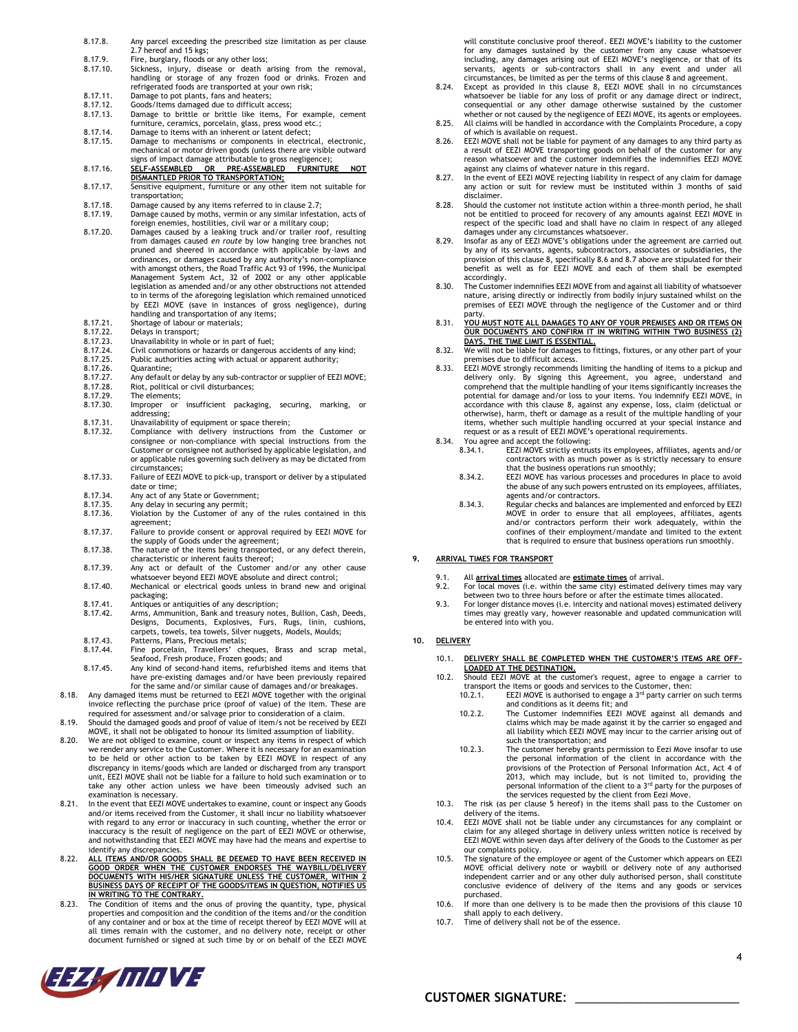- 8.17.8. Any parcel exceeding the prescribed size limitation as per clause [2.7](#page-1-0) hereof and 15 kgs; 8.17.9. Fire, burglary, floods or any other loss;<br>8.17.10. Sickness, injury, disease or death a Sickness, injury, disease or death arising from the removal, handling or storage of any frozen food or drinks. Frozen and refrigerated foods are transported at your own risk; 8.17.11. Damage to pot plants, fans and heaters;<br>8.17.12. Goods/Items damaged due to difficult ac 8.17.12. Goods/Items damaged due to difficult access;<br>8.17.13. Damage to brittle or brittle like items, Fo Bamage to brittle or brittle like items, For example, cement furniture, ceramics, porcelain, glass, press wood etc.; 8.17.14. Damage to items with an inherent or latent defect;<br>8.17.15. Damage to mechanisms or components in electric Bamage to mechanisms or components in electrical, electronic, mechanical or motor driven goods (unless there are visible outward signs of impact damage attributable to gross negligence); 8.17.16. **SELF-ASSEMBLED OR PRE-ASSEMBLED FURNITURE NOT DISMANTLED PRIOR TO TRANSPORTATION;** 8.17.17. Sensitive equipment, furniture or any other item not suitable for transportation; 8.17.18. Damage caused by any items referred to in claus[e 2.7;](#page-1-0)<br>8.17.19. Damage caused by moths, vermin or any similar infesta 8.17.19. Damage caused by moths, vermin or any similar infestation, acts of foreign enemies, hostilities, civil war or a military coup; 8.17.20. Damages caused by a leaking truck and/or trailer roof, resulting from damages caused *en route* by low hanging tree branches not pruned and sheered in accordance with applicable by-laws and ordinances, or damages caused by any authority's non-compliance with amongst others, the Road Traffic Act 93 of 1996, the Municipal Management System Act, 32 of 2002 or any other applicable legislation as amended and/or any other obstructions not attended to in terms of the aforegoing legislation which remained unnoticed by EEZI MOVE (save in instances of gross negligence), during handling and transportation of any items; 8.17.21. Shortage of labour or materials; 8.17.22. Delays in transport; 8.17.23. Unavailability in whole or in part of fuel; 8.17.24. Civil commotions or hazards or dangerous accidents of any kind; 8.17.25. Public authorities acting with actual or apparent authority;<br>8.17.26. Quarantine; 8.17.26. Quarantine;<br>8.17.27. Any default 8.17.27. Any default or delay by any sub-contractor or supplier of EEZI MOVE; 8.17.28. Riot, political or civil disturbances; 8.17.29. The elements;<br>8.17.30. Improper or Improper or insufficient packaging, securing, marking, or addressing; 8.17.31. Unavailability of equipment or space therein;<br>8.17.32. Compliance with delivery instructions from 8.17.32. Compliance with delivery instructions from the Customer or consignee or non-compliance with special instructions from the Customer or consignee not authorised by applicable legislation, and or applicable rules governing such delivery as may be dictated from circumstances; 8.17.33. Failure of EEZI MOVE to pick-up, transport or deliver by a stipulated date or time; 8.17.34. Any act of any State or Government;<br>8.17.35. Any delay in securing any permit: Any delay in securing any permit; 8.17.36. Violation by the Customer of any of the rules contained in this
	- agreement; 8.17.37. Failure to provide consent or approval required by EEZI MOVE for the supply of Goods under the agreement;
	- 8.17.38. The nature of the items being transported, or any defect therein,
	- characteristic or inherent faults thereof; 8.17.39. Any act or default of the Customer and/or any other cause whatsoever beyond EEZI MOVE absolute and direct control;
	- 8.17.40. Mechanical or electrical goods unless in brand new and original packaging;
	- 8.17.41. Antiques or antiquities of any description;
	- 8.17.42. Arms, Ammunition, Bank and treasury notes, Bullion, Cash, Deeds, Designs, Documents, Explosives, Furs, Rugs, linin, cushions, carpets, towels, tea towels, Silver nuggets, Models, Moulds;
- 8.17.43. Patterns, Plans, Precious metals;<br>8.17.44. Fine porcelain, Travellers' che Fine porcelain, Travellers' cheques, Brass and scrap metal,
- Seafood, Fresh produce, Frozen goods; and 8.17.45. Any kind of second-hand items, refurbished items and items that have pre-existing damages and/or have been previously repaired for the same and/or similar cause of damages and/or breakages.
- 8.18. Any damaged items must be returned to EEZI MOVE together with the original invoice reflecting the purchase price (proof of value) of the item. These are
- required for assessment and/or salvage prior to consideration of a claim. 8.19. Should the damaged goods and proof of value of item/s not be received by EEZI MOVE, it shall not be obligated to honour its limited assumption of liability.
- 8.20. We are not obliged to examine, count or inspect any items in respect of which we render any service to the Customer. Where it is necessary for an examination to be held or other action to be taken by EEZI MOVE in respect of any discrepancy in items/goods which are landed or discharged from any transport unit, EEZI MOVE shall not be liable for a failure to hold such examination or to take any other action unless we have been timeously advised such an examination is necessary.
- 8.21. In the event that EEZI MOVE undertakes to examine, count or inspect any Goods and/or items received from the Customer, it shall incur no liability whatsoever with regard to any error or inaccuracy in such counting, whether the error or inaccuracy is the result of negligence on the part of EEZI MOVE or otherwise, and notwithstanding that EEZI MOVE may have had the means and expertise to identify any discrepancies.
- 8.22. <u>ALL ITEMS AND/OR GOODS SHALL BE DEEMED TO HAVE BEEN RECEIVED IN GOOD ORDER WHEN THE CUSTOMER ENDIRENCEMENT SUB-<br><u>GOOD ORDER WHEN THE CUSTOMER ENDORSES THE CUSTOMER, WITHIN 2</u></u> **BUSINESS DAYS OF RECEIPT OF THE GOODS/ITEMS IN QUESTION, NOTIFIES US**
- **IN WRITING TO THE CONTRARY.**<br>8.23. The Condition of items and the onus of proving the quantity, type, physical<br>properties and composition and the condition of the items and/or the condition of any container and or box at the time of receipt thereof by EEZI MOVE will at all times remain with the customer, and no delivery note, receipt or other document furnished or signed at such time by or on behalf of the EEZI MOVE

will constitute conclusive proof thereof. EEZI MOVE's liability to the customer for any damages sustained by the customer from any cause whatsoever including, any damages arising out of EEZI MOVE's negligence, or that of its servants, agents or sub-contractors shall in any event and under all

- circumstances, be limited as per the terms of this clause 8 and agreement. 8.24. Except as provided in this clause [8,](#page-2-0) EEZI MOVE shall in no circumstances whatsoever be liable for any loss of profit or any damage direct or indirect, consequential or any other damage otherwise sustained by the customer whether or not caused by the negligence of EEZI MOVE, its agents or employees.
- 8.25. All claims will be handled in accordance with the Complaints Procedure, a copy of which is available on request.
- 8.26. EEZI MOVE shall not be liable for payment of any damages to any third party as a result of EEZI MOVE transporting goods on behalf of the customer for any reason whatsoever and the customer indemnifies the indemnifies EEZI MOVE against any claims of whatever nature in this regard.
- 8.27. In the event of EEZI MOVE rejecting liability in respect of any claim for damage any action or suit for review must be instituted within 3 months of said disclaimer.
- 8.28. Should the customer not institute action within a three-month period, he shall not be entitled to proceed for recovery of any amounts against EEZI MOVE in respect of the specific load and shall have no claim in respect of any alleged damages under any circumstances whatsoever. 8.29. Insofar as any of EEZI MOVE's obligations under the agreement are carried out
- by any of its servants, agents, subcontractors, associates or subsidiaries, the provision of this claus[e 8,](#page-2-0) specificall[y 8.6](#page-2-2) an[d 8.7](#page-2-3) above are stipulated for their benefit as well as for EEZI MOVE and each of them shall be exempted accordingly.
- 8.30. The Customer indemnifies EEZI MOVE from and against all liability of whatsoever nature, arising directly or indirectly from bodily injury sustained whilst on the premises of EEZI MOVE through the negligence of the Customer and or third party.
- 8.31. **YOU MUST NOTE ALL DAMAGES TO ANY OF YOUR PREMISES AND OR ITEMS ON OUR DOCUMENTS AND CONFIRM IT IN WRITING WITHIN TWO BUSINESS (2) DAYS. THE TIME LIMIT IS ESSENTIAL.**
- 8.32. We will not be liable for damages to fittings, fixtures, or any other part of your premises due to difficult access.
- 8.33. EEZI MOVE strongly recommends limiting the handling of items to a pickup and delivery only. By signing this Agreement, you agree, understand and comprehend that the multiple handling of your items significantly increases the potential for damage and/or loss to your items. You indemnify EEZI MOVE, in accordance with this clause [8,](#page-2-0) against any expense, loss, claim (delictual or otherwise), harm, theft or damage as a result of the multiple handling of your items, whether such multiple handling occurred at your special instance and request or as a result of EEZI MOVE's operational requirements. 8.34. You agree and accept the following:
- - 8.34.1. EEZI MOVE strictly entrusts its employees, affiliates, agents and/or contractors with as much power as is strictly necessary to ensure that the business operations run smoothly;
		- 8.34.2. EEZI MOVE has various processes and procedures in place to avoid the abuse of any such powers entrusted on its employees, affiliates, agents and/or contractors.
		- 8.34.3. Regular checks and balances are implemented and enforced by EEZI MOVE in order to ensure that all employees, affiliates, agents and/or contractors perform their work adequately, within the confines of their employment/mandate and limited to the extent that is required to ensure that business operations run smoothly.

# **9. ARRIVAL TIMES FOR TRANSPORT**

- 9.1. All **arrival times** allocated are **estimate times** of arrival.
- 9.2. For local moves (i.e. within the same city) estimated delivery times may vary between two to three hours before or after the estimate times allocated.
- 9.3. For longer distance moves (i.e. intercity and national moves) estimated delivery times may greatly vary, however reasonable and updated communication will be entered into with you.

# <span id="page-3-0"></span>**10. DELIVERY**

- 10.1. **DELIVERY SHALL BE COMPLETED WHEN THE CUSTOMER'S ITEMS ARE OFF-LOADED AT THE DESTINATION.**
- 10.2. Should EEZI MOVE at the customer's request, agree to engage a carrier to transport the items or goods and services to the Customer, then: 10.2.1. **EEZI MOVE** is authorised to engage a  $3<sup>rd</sup>$  party carrier on such terms
	- and conditions as it deems fit; and 10.2.2. The Customer indemnifies EEZI MOVE against all demands and claims which may be made against it by the carrier so engaged and all liability which EEZI MOVE may incur to the carrier arising out of such the transportation; and
	- 10.2.3. The customer hereby grants permission to Eezi Move insofar to use the personal information of the client in accordance with the provisions of the Protection of Personal Information Act, Act 4 of 2013, which may include, but is not limited to, providing the personal information of the client to a 3<sup>rd</sup> party for the purposes of<br>the services requested by the client from Eezi Move.
- 10.3. The risk (as per clause [5](#page-1-2) hereof) in the items shall pass to the Customer on delivery of the items.
- 10.4. EEZI MOVE shall not be liable under any circumstances for any complaint or claim for any alleged shortage in delivery unless written notice is received by EEZI MOVE within seven days after delivery of the Goods to the Customer as per our complaints policy.
- 10.5. The signature of the employee or agent of the Customer which appears on EEZI<br>MOVE official delivery note or waybill or delivery note of any authorised<br>independent carrier and or any other duly authorised person, shal purchased.
- 10.6. If more than one delivery is to be made then the provisions of this clause [10](#page-3-0) shall apply to each delivery.
- 10.7. Time of delivery shall not be of the essence.

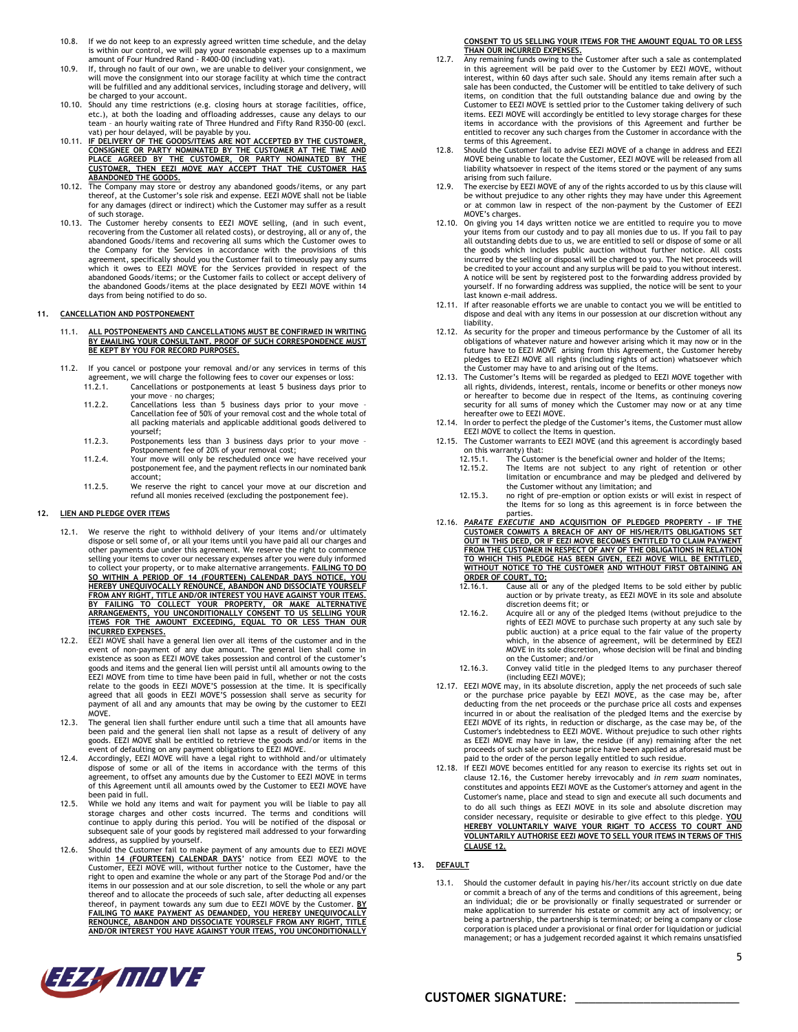- 10.8. If we do not keep to an expressly agreed written time schedule, and the delay is within our control, we will pay your reasonable expenses up to a maximum amount of Four Hundred Rand - R400-00 (including vat).
- 10.9. If, through no fault of our own, we are unable to deliver your consignment, we will move the consignment into our storage facility at which time the contract will be fulfilled and any additional services, including storage and delivery, will be charged to your account.
- 10.10. Should any time restrictions (e.g. closing hours at storage facilities, office,<br>etc.), at both the loading and offloading addersses, cause any delays to our<br>team an hourly waiting rate of Three Hundred and Fifty R
- vat) per hour delayed, will be payable by you.<br>10.11. I<u>F DELIVERY OF THE GOODS/ITEMS ARE NOT ACCEPTED BY THE CUSTOMER.</u><br><u>CONSIGNEE OR PARTY NOMINATED BY THE CUSTOMER AT THE TIME AND</u><br>PLACE AGREED BY THE CUSTOMER, OR PARTY **CUSTOMER, THEN EEZI MOVE MAY ACCEPT THAT THE CUSTOMER HAS**
- ABANDONED THE GOODS.<br>10.12. The Company may store or destroy any abandoned goods/items, or any part<br>thereof, at the Customer's sole risk and expense. EEZI MOVE shall not be liable for any damages (direct or indirect) which the Customer may suffer as a result of such storage.
- 10.13. The Customer hereby consents to EEZI MOVE selling, (and in such event, recovering from the Customer all related costs), or destroying, all or any of, the abandoned Goods/items and recovering all sums which the Customer owes to the Company for the Services in accordance with the provisions of which it owes to EEZI MOVE for the Services provided in respect of the abandoned Goods/items; or the Customer fails to collect or accept delivery of the abandoned Goods/items at the place designated by EEZI MOVE within 14 days from being notified to do so.

#### **11. CANCELLATION AND POSTPONEMENT**

- 11.1. **ALL POSTPONEMENTS AND CANCELLATIONS MUST BE CONFIRMED IN WRITING BY EMAILING YOUR CONSULTANT. PROOF OF SUCH CORRESPONDENCE MUST BE KEPT BY YOU FOR RECORD PURPOSE**
- 11.2. If you cancel or postpone your removal and/or any services in terms of this agreement, we will charge the following fees to cover our expenses or loss: 11.2.1. Cancellations or postponements at least 5 business days prior to
	- your move no charges; 11.2.2. Cancellations less than 5 business days prior to your move – Cancellation fee of 50% of your removal cost and the whole total of
	- all packing materials and applicable additional goods delivered to yourself; 11.2.3. Postponements less than 3 business days prior to your move –
	- Postponement fee of 20% of your removal cost;
	- 11.2.4. Your move will only be rescheduled once we have received your postponement fee, and the payment reflects in our nominated bank account;
	- 11.2.5. We reserve the right to cancel your move at our discretion and refund all monies received (excluding the postponement fee).

# <span id="page-4-1"></span>**12. LIEN AND PLEDGE OVER ITEMS**

- 12.1. We reserve the right to withhold delivery of your items and/or ultimately dispose or sell some of, or all your items until you have paid all our charges and other payments due under this agreement. We reserve the right to commence selling your items to cover our necessary expenses after you were duly informed to collect your property, or to make alternative arrangements. **FAILING TO DO SO WITHIN A PERIOD OF 14 (FOURTEEN) CALENDAR DAYS NOTICE, YOU HEREBY UNEQUIVOCALLY RENOUNCE, ABANDON AND DISSOCIATE YOURSELF FROM ANY RIGHT, TITLE AND/OR INTEREST YOU HAVE AGAINST YOUR ITEMS. BY FAILING TO COLLECT YOUR PROPERTY, OR MAKE ALTERNATIVE ARRANGEMENTS, YOU UNCONDITIONALLY CONSENT TO US SELLING YOUR ITEMS FOR THE AMOUNT EXCEEDING, EQUAL TO OR LESS THAN OUR**
- **INCURRED EXPENSES.** 12.2. EEZI MOVE shall have a general lien over all items of the customer and in the event of non-payment of any due amount. The general lien shall come in<br>existence as soon as EEZI MOVE takes possession and control of the customer's<br>goods and items and the general lien will persist until all amounts owing EEZI MOVE from time to time have been paid in full, whether or not the costs relate to the goods in EEZI MOVE'S possession at the time. It is specifically agreed that all goods in EEZI MOVE'S possession shall serve as security for payment of all and any amounts that may be owing by the customer to EEZI MOVE.
- 12.3. The general lien shall further endure until such a time that all amounts have been paid and the general lien shall not lapse as a result of delivery of any goods. EEZI MOVE shall be entitled to retrieve the goods and/or items in the
- event of defaulting on any payment obligations to EEZI MOVE.<br>12.4. Accordingly, EEZI MOVE will have a legal right to withhold and/or ultimately<br>dispose of some or all of the items in accordance with the terms of this agreement, to offset any amounts due by the Customer to EEZI MOVE in terms of this Agreement until all amounts owed by the Customer to EEZI MOVE have been paid in full.
- 12.5. While we hold any items and wait for payment you will be liable to pay all storage charges and other costs incurred. The terms and conditions will continue to apply during this period. You will be notified of the disposal or subsequent sale of your goods by registered mail addressed to your forwarding address, as supplied by yourself. 12.6. Should the Customer fail to make payment of any amounts due to EEZI MOVE
- within 14 (FOURTEEN) CALENDAR DAYS' notice from EEZI MOVE to the Customer, EEZI MOVE will, without further notice to the Customer, have the gight to open and examine the whole or any part of the Storage Pod and/or the righ

# **CONSENT TO US SELLING YOUR ITEMS FOR THE AMOUNT EQUAL TO OR LESS**

- **THAN OUR INCURRED EXPENSES.**<br>12.7. Any remaining funds owing to the Customer after such a sale as contemplated<br>in this agreement will be paid over to the Customer by EEZI MOVE, without interest, within 60 days after such sale. Should any items remain after such a sale has been conducted, the Customer will be entitled to take delivery of such items, on condition that the full outstanding balance due and owing by the Customer to EEZI MOVE is settled prior to the Customer taking delivery of such items. EEZI MOVE will accordingly be entitled to levy storage charges for these items in accordance with the provisions of this Agreement and further be entitled to recover any such charges from the Customer in accordance with the terms of this Agreement.
- 12.8. Should the Customer fail to advise EEZI MOVE of a change in address and EEZI<br>MOVE being unable to locate the Customer, EEZI MOVE will be released from all<br>liability whatsoever in respect of the items stored or the pa
- arising from such failure. 12.9. The exercise by EEZI MOVE of any of the rights accorded to us by this clause will be without prejudice to any other rights they may have under this Agreement or at common law in respect of the non-payment by the Customer of EEZI MOVE's charges.
- 12.10. On giving you 14 days written notice we are entitled to require you to move your items from our custody and to pay all monies due to us. If you fail to pay<br>all outstanding debts due to us, we are entitled to sell or dispose of some or all<br>the goods which includes public auction without further not be credited to your account and any surplus will be paid to you without interest. A notice will be sent by registered post to the forwarding address provided by yourself. If no forwarding address was supplied, the notice will be sent to your last known e-mail address.
- 12.11. If after reasonable efforts we are unable to contact you we will be entitled to dispose and deal with any items in our possession at our discretion without any liability.
- 12.12. As security for the proper and timeous performance by the Customer of all its obligations of whatever nature and however arising which it may now or in the future have to EEZI MOVE arising from this Agreement, the Customer hereby pledges to EEZI MOVE all rights (including rights of action) whatsoever which the Customer may have to and arising out of the Items.
- 12.13. The Customer's Items will be regarded as pledged to EEZI MOVE together with all rights, dividends, interest, rentals, income or benefits or other moneys now or hereafter to become due in respect of the Items, as continuing covering security for all sums of money which the Customer may now or at any time hereafter owe to EEZI MOVE.
- 12.14. In order to perfect the pledge of the Customer's items, the Customer must allow EEZI MOVE to collect the Items in question. 12.15. The Customer warrants to EEZI MOVE (and this agreement is accordingly based
- on this warranty) that:
	-
	- 12.15.1. The Customer is the beneficial owner and holder of the Items; 12.15.2. The Items are not subject to any right of retention or other limitation or encumbrance and may be pledged and delivered by the Customer without any limitation; and
	- 12.15.3. no right of pre-emption or option exists or will exist in respect of the Items for so long as this agreement is in force between the parties.
- <span id="page-4-0"></span>12.16. <u>PARATE EXECUTIE AND ACQUISITION OF PLEDGED PROPERTY - IF THE CUSTOMER COMMITS A BREACH OF ANY OF HIS/HE<br>CUSTOMER COMMITS A BREACH OF ANY OF HIS/HER/ITS OBLIGATIONS SET<br>OUT IN THIS DEED, OR IF EEZI MOVE BECOMES ENTI</u> <u>FROM THE CUSTOMER IN RESPECT OF ANY OF THE OBLIGATIONS IN RELATION<br>TO WHICH THIS PLEDGE HAS BEEN GIVEN, EEZI MOVE WILL BE ENTITLED,<br>WITHOUT NOTICE TO THE CUSTOMER AND WITHOUT FIRST OBTAINING AN</u> **ORDER OF COURT, TO:**
	- 12.16.1. Cause all or any of the pledged Items to be sold either by public auction or by private treaty, as EEZI MOVE in its sole and absolute discretion deems fit; or
	- 12.16.2. Acquire all or any of the pledged Items (without prejudice to the rights of EEZI MOVE to purchase such property at any such sale by public auction) at a price equal to the fair value of the property which, in the absence of agreement, will be determined by EEZI MOVE in its sole discretion, whose decision will be final and binding on the Customer; and/or
	- 12.16.3. Convey valid title in the pledged Items to any purchaser thereof (including EEZI MOVE);
- 12.17. EEZI MOVE may, in its absolute discretion, apply the net proceeds of such sale or the purchase price payable by EEZI MOVE, as the case may be, after deducting from the net proceeds or the purchase price all costs and expenses incurred in or about the realisation of the pledged Items and the exercise by EEZI MOVE of its rights, in reduction or discharge, as the case may be, of the Customer's indebtedness to EEZI MOVE. Without prejudice to such other rights as EEZI MOVE may have in law, the residue (if any) remaining after the net proceeds of such sale or purchase price have been applied as aforesaid must be
- paid to the order of the person legally entitled to such residue. 12.18. If EEZI MOVE becomes entitled for any reason to exercise its rights set out in clause [12.16,](#page-4-0) the Customer hereby irrevocably and *in rem suam* nominates, constitutes and appoints EEZI MOVE as the Customer's attorney and agent in the Customer's name, place and stead to sign and execute all such documents and to do all such things as EEZI MOVE in its sole and absolute discretion may consider necessary, requisite or desirable to give effect to this pledge. <u>YOU</u><br><u>HEREBY VOLUNTARILY WAIVE YOUR RIGHT TO ACCESS TO COURT AND</u><br><u>VOLUNTARILY AUTHORISE EEZI MOVE TO SELL YOUR ITEMS IN TERMS OF THIS</u> **CLAUS[E 12.](#page-4-1)**
- **13. DEFAULT**
	- Should the customer default in paying his/her/its account strictly on due date or commit a breach of any of the terms and conditions of this agreement, being an individual; die or be provisionally or finally sequestrated or surrender or make application to surrender his estate or commit any act of insolvency; or being a partnership, the partnership is terminated; or being a company or close corporation is placed under a provisional or final order for liquidation or judicial management; or has a judgement recorded against it which remains unsatisfied

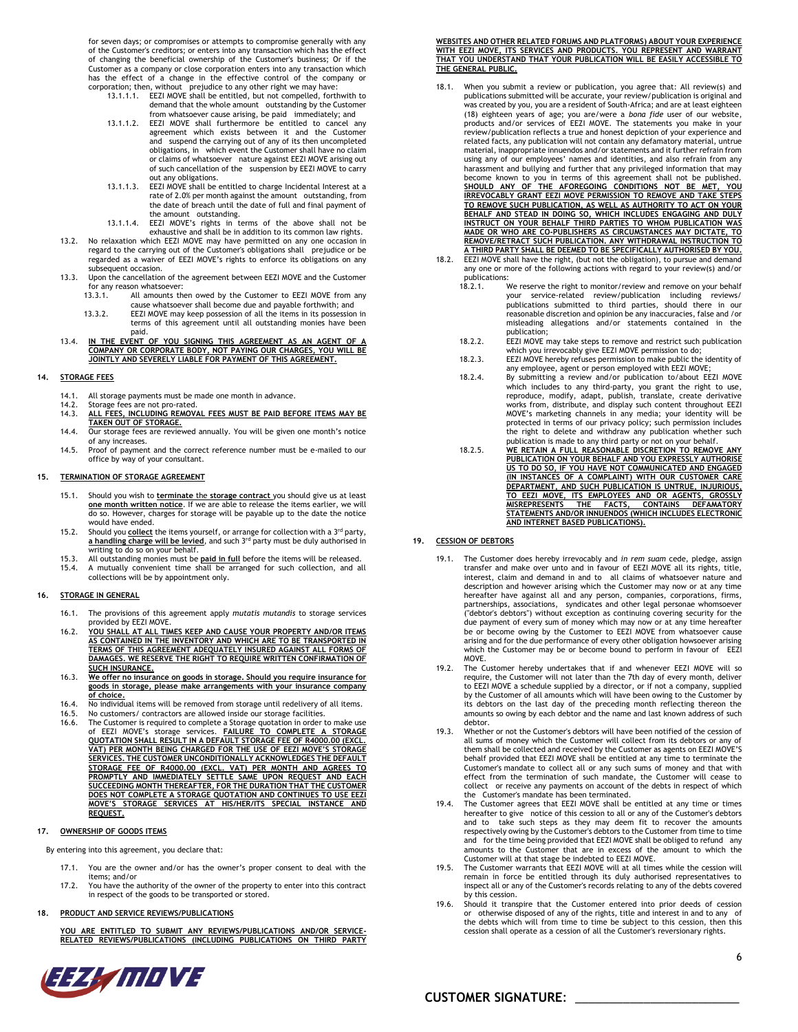for seven days; or compromises or attempts to compromise generally with any of the Customer's creditors; or enters into any transaction which has the effect of changing the beneficial ownership of the Customer's business; Or if the Customer as a company or close corporation enters into any transaction which has the effect of a change in the effective control of the company or<br>corporation; then, without prejudice to any other right we may have:<br>13.1.1.1.1. EEZI MOVE shall be entitled, but not compelled, forthwith to

- demand that the whole amount outstanding by the Customer from whatsoever cause arising, be paid immediately; and 13.1.1.2. EEZI MOVE shall furthermore be entitled to cancel any
- agreement which exists between it and the Customer and suspend the carrying out of any of its then uncompleted obligations, in which event the Customer shall have no claim or claims of whatsoever nature against EEZI MOVE arising out of such cancellation of the suspension by EEZI MOVE to carry
- out any obligations. 13.1.1.3. EEZI MOVE shall be entitled to charge Incidental Interest at a rate of 2.0% per month against the amount outstanding, from the date of breach until the date of full and final payment of the amount outstanding. 13.1.1.4. EEZI MOVE's rights in terms of the above shall not be
- exhaustive and shall be in addition to its common law rights.
- 13.2. No relaxation which EEZI MOVE may have permitted on any one occasion in regard to the carrying out of the Customer's obligations shall prejudice or be regarded as a waiver of EEZI MOVE's rights to enforce its obligations on any subsequent occasion.
- 13.3. Upon the cancellation of the agreement between EEZI MOVE and the Customer for any reason whatsoever:<br>13.3.1. All amounts the
	- All amounts then owed by the Customer to EEZI MOVE from any cause whatsoever shall become due and payable forthwith; and 13.3.2. EEZI MOVE may keep possession of all the items in its possession in
- terms of this agreement until all outstanding monies have been paid.<br>13.4. <u>IN THE EVENT OF YOU SIGNING THIS AGREEMENT AS AN AGENT OF A</u>
- **COMPANY OR CORPORATE BODY, NOT PAYING OUR CHARGES, YOU WILL BE JOINTLY AND SEVERELY LIABLE FOR PAYMENT OF THIS AGREEMENT.**

### **14. STORAGE FEES**

- 14.1. All storage payments must be made one month in advance.<br>14.2. Storage fees are not pro-rated
- 14.2. Storage fees are not pro-rated. 14.3. **ALL FEES, INCLUDING REMOVAL FEES MUST BE PAID BEFORE ITEMS MAY BE TAKEN OUT OF STORAGE.**
- 14.4. Our storage fees are reviewed annually. You will be given one month's notice of any increases.
- 14.5. Proof of payment and the correct reference number must be e-mailed to our office by way of your consultant.

#### **15. TERMINATION OF STORAGE AGREEMENT**

- 15.1. Should you wish to **terminate** the **storage contract** you should give us at least **one month written notice**. If we are able to release the items earlier, we will do so. However, charges for storage will be payable up to the date the notice would have ended.
- <sup>15.2</sup> Should you **collect** the items yourself, or arrange for collection with a <sup>3rd</sup> party,<br>**a handling charge will be levied**, and such 3<sup>rd</sup> party must be duly authorised in writing to do so on your behalf.
- 15.3. All outstanding monies must be **paid in full** before the items will be released. 15.4. A mutually convenient time shall be arranged for such collection, and all
- collections will be by appointment only.

## **16. STORAGE IN GENERAL**

- 16.1. The provisions of this agreement apply *mutatis mutandis* to storage services
- provided by EEZI MOVE. 16.2. **YOU SHALL AT ALL TIMES KEEP AND CAUSE YOUR PROPERTY AND/OR ITEMS AS CONTAINED IN THE INVENTORY AND WHICH ARE TO BE TRANSPORTED IN TERMS OF THIS AGREEMENT ADEQUATELY INSURED AGAINST ALL FORMS OF DAMAGES. WE RESERVE THE RIGHT TO REQUIRE WRITTEN CONFIRMATION OF SUCH INSURANCE.**
- 16.3. **We offer no insurance on goods in storage. Should you require insurance for goods in storage, please make arrangements with your insurance company of choice.**
- 16.4. No individual items will be removed from storage until redelivery of all items.<br>16.5. No customers/ contractors are allowed inside our storage facilities.
- 
- 16.5. No customers/ contractors are allowed inside our storage facilities.<br>16.6. The Customer is required to complete a Storage quotation in order to make use<br>of EEZI MOVE's storage services. FAILURE TO COMPLETE A STORAGE<br> **STORAGE FEE OF R4000.00 (EXCL. VAT) PER MONTH AND AGREES TO**  <u>PROMPTLY AND IMMEDIATELY SETTLE SAME UPON REQUEST AND EACH</u><br>SUCCEEDING MONTH THEREAFTER, FOR THE DURATION THAT THE CUSTOMER<br>DOES NOT COMPLETE A STORAGE QUOTATION AND CONTINUES TO USE EEZI **MOVE'S STORAGE SERVICES AT HIS/HER/ITS SPECIAL INSTANCE AND REQUEST.**

### **17. OWNERSHIP OF GOODS ITEMS**

By entering into this agreement, you declare that:

- 17.1. You are the owner and/or has the owner's proper consent to deal with the items; and/or
- 17.2. You have the authority of the owner of the property to enter into this contract in respect of the goods to be transported or stored.

#### **18. PRODUCT AND SERVICE REVIEWS/PUBLICATIONS**

ARE ENTITLED TO SUBMIT ANY REVIEWS/PUBLICATIONS AND/OR SERVICE **RELATED REVIEWS/PUBLICATIONS (INCLUDING PUBLICATIONS ON THIRD PARTY** 



**WEBSITES AND OTHER RELATED FORUMS AND PLATFORMS) ABOUT YOUR EXPERIENCE WITH EEZI MOVE, ITS SERVICES AND PRODUCTS. YOU REPRESENT AND WARRANT THAT YOU UNDERSTAND THAT YOUR PUBLICATION WILL BE EASILY ACCESSIBLE TO THE GENERAL PUBLIC.**

- 18.1. When you submit a review or publication, you agree that: All review(s) and<br>publications submitted will be accurate, your review/publication is original and<br>was created by you, you are a resident of South-Africa; and (18) eighteen years of age; you are/were a *bona fide* user of our website, products and/or services of EEZI MOVE. The statements you make in your review/publication reflects a true and honest depiction of your experience and related facts, any publication will not contain any defamatory material, untrue material, inappropriate innuendos and/or statements and it further refrain from using any of our employees' names and identities, and also refrain from any harassment and bullying and further that any privileged information that may become known to you in terms of this agreement shall not be published.<br>**SHOULD ANY OF THE AFOREGOING CONDITIONS NOT BE MET, YOU**<br>I**RREVOCABLY GRANT EEZI MOVE PERMISSION TO REMOVE AND TAKE STEPS** <u>TO REMOVE SUCH PUBLICATION, AS WELL AS AUTHORITY TO ACT ON YOUR<br>BEHALF AND STEAD IN DOING SO, WHICH INCLUDES ENGAGING AND DULY</u><br>INSTRUCT ON YOUR BEHALF THIRD PARTIES TO WHOM PUBLICATION WAS **MADE OR WHO ARE CO-PUBLISHERS AS CIRCUMSTANCES MAY DICTATE, TO REMOVE/RETRACT SUCH PUBLICATION. ANY WITHDRAWAL INSTRUCTION TO A THIRD PARTY SHALL BE DEEMED TO BE SPECIFICALLY AUTHORISED BY YOU.**
- 18.2. EEZI MOVE shall have the right, (but not the obligation), to pursue and demand any one or more of the following actions with regard to your review(s) and/or publications:<br>18.2.1. V
	- We reserve the right to monitor/review and remove on your behalf your service-related review/publication including reviews/ publications submitted to third parties, should there in our reasonable discretion and opinion be any inaccuracies, false and /or misleading allegations and/or statements contained in the publication;
	- 18.2.2. EEZI MOVE may take steps to remove and restrict such publication which you irrevocably give EEZI MOVE permission to do;
	- 18.2.3. EEZI MOVE hereby refuses permission to make public the identity of any employee, agent or person employed with EEZI MOVE;
	- 18.2.4. By submitting a review and/or publication to/about EEZI MOVE which includes to any third-party, you grant the right to use, reproduce, modify, adapt, publish, translate, create derivative works from, distribute, and display such content throughout EEZI MOVE's marketing channels in any media; your identity will be protected in terms of our privacy policy; such permission includes the right to delete and withdraw any publication whether such publication is made to any third party or not on your behalf.
	- 18.2.5. **WE RETAIN A FULL REASONABLE DISCRETION TO REMOVE ANY PUBLICATION ON YOUR BEHALF AND YOU EXPRESSLY AUTHORISE US TO DO SO, IF YOU HAVE NOT COMMUNICATED AND ENGAGED (IN INSTANCES OF A COMPLAINT) WITH OUR CUSTOMER CARE**  <u>DEPARTMENT, AND SUCH PUBLICATION IS UNTRUE, INJURIOUS,</u><br><u>TO EEZI MOVE, ITS EMPLOYEES AND OR AGENTS, GROSSLY</u><br>MI<u>SREPRESENTS - THE - FACTS. - CONTAINS - DEFAMATORY</u><br>STATEMENTS AND/OR INNUENDOS (WHICH INCLUDES ELECTRONIC **AND INTERNET BASED PUBLICATIONS).**

#### **19. CESSION OF DEBTORS**

- 19.1. The Customer does hereby irrevocably and *in rem suam* cede, pledge, assign transfer and make over unto and in favour of EEZI MOVE all its rights, title, interest, claim and demand in and to all claims of whatsoever nature and description and however arising which the Customer may now or at any time hereafter have against all and any person, companies, corporations, firms, partnerships, associations, syndicates and other legal personae whomsoever ("debtor's debtors") without exception as continuing covering security for the due payment of every sum of money which may now or at any time hereafter be or become owing by the Customer to EEZI MOVE from whatsoever cause arising and for the due performance of every other obligation howsoever arising which the Customer may be or become bound to perform in favour of EEZI MOVE.
- 19.2. The Customer hereby undertakes that if and whenever EEZI MOVE will so require, the Customer will not later than the 7th day of every month, deliver to EEZI MOVE a schedule supplied by a director, or if not a company, supplied by the Customer of all amounts which will have been owing to the Customer by its debtors on the last day of the preceding month reflecting thereon the amounts so owing by each debtor and the name and last known address of such debtor.
- 19.3. Whether or not the Customer's debtors will have been notified of the cession of all sums of money which the Customer will collect from its debtors or any of them shall be collected and received by the Customer as agents on EEZI MOVE'S behalf provided that EEZI MOVE shall be entitled at any time to terminate the Customer's mandate to collect all or any such sums of money and that with effect from the termination of such mandate, the Customer will cease to collect or receive any payments on account of the debts in respect of which the Customer's mandate has been terminated.
- 19.4. The Customer agrees that EEZI MOVE shall be entitled at any time or times hereafter to give notice of this cession to all or any of the Customer's debtors and to take such steps as they may deem fit to recover the amounts respectively owing by the Customer's debtors to the Customer from time to time<br>and for the time being provided that EEZI MOVE shall be obliged to refund any<br>amounts to the Customer that are in excess of the a
- Customer will at that stage be indebted to EEZI MOVE. 19.5. The Customer warrants that EEZI MOVE will at all times while the cession will remain in force be entitled through its duly authorised representatives to inspect all or any of the Customer's records relating to any of the debts covered by this cession.
- 19.6. Should it transpire that the Customer entered into prior deeds of cession or otherwise disposed of any of the rights, title and interest in and to any of the debts which will from time to time be subject to this cession, then this cession shall operate as a cession of all the Customer's reversionary rights.

# **CUSTOMER SIGNATURE**: \_\_\_\_\_\_\_\_\_\_\_\_\_\_\_\_\_\_\_\_\_\_\_\_